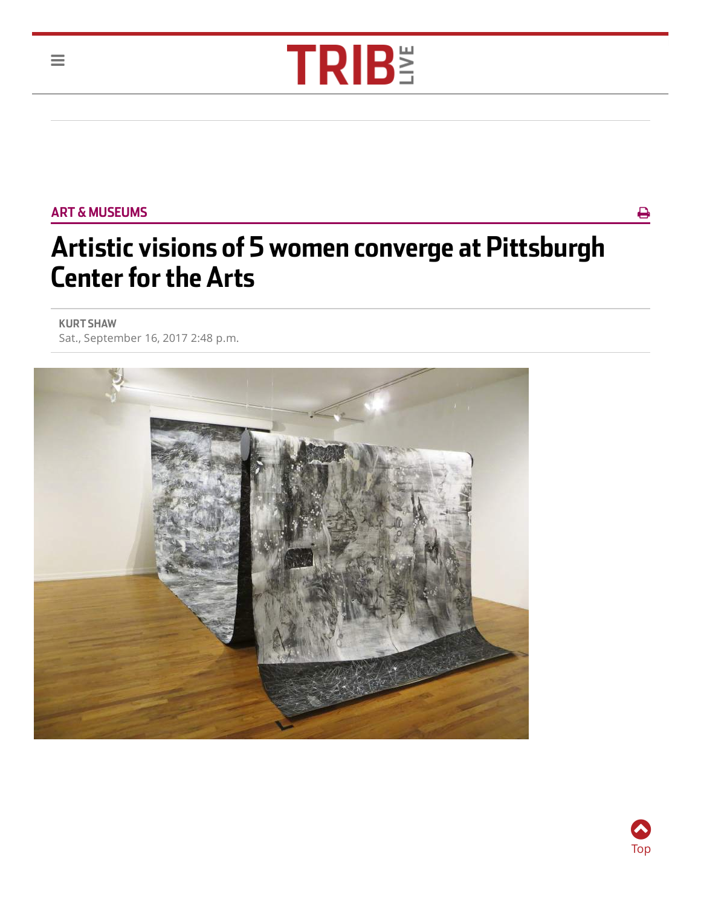# TRIBE

#### ART & MUSEUMS ART & MUSEUMS

## Artistic visions of 5women converge at Pittsburgh **Center for the Arts**

#### KURT SHAW

Sat., September 16, 2017 2:48 p.m.



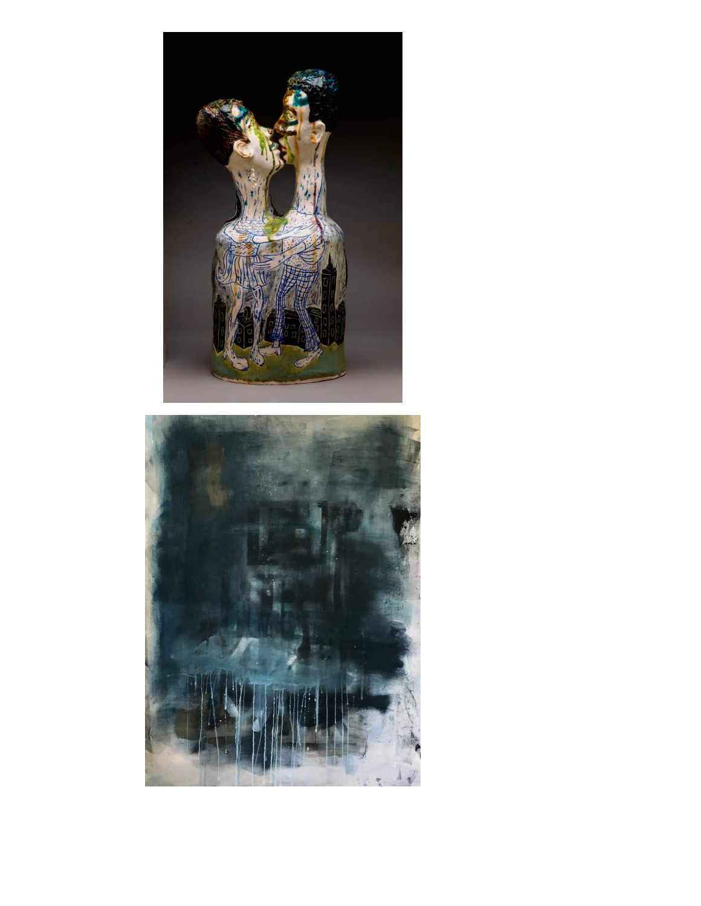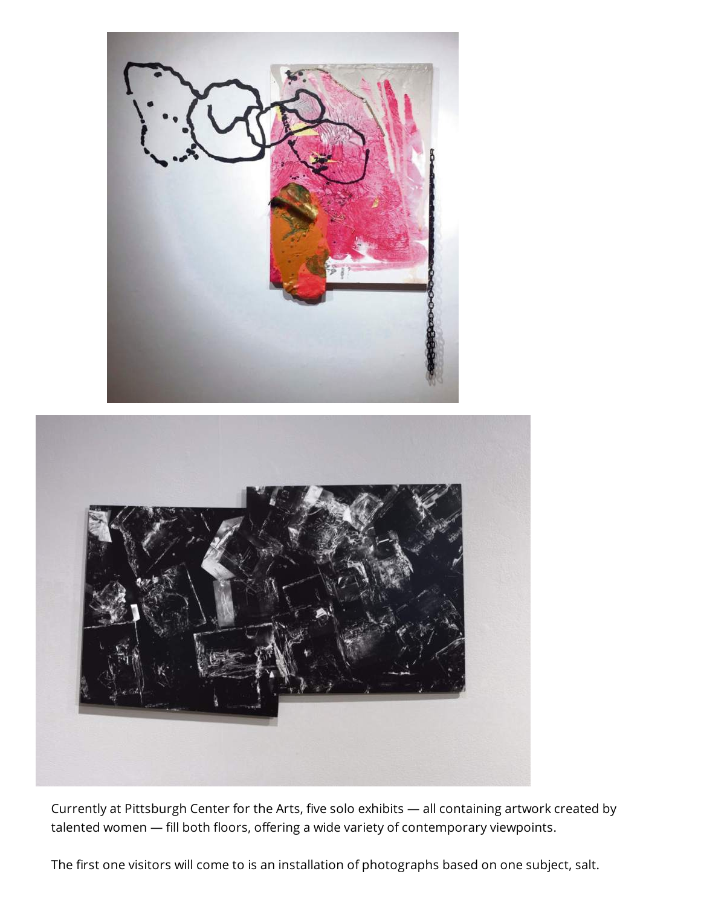

Currently at Pittsburgh Center for the Arts, five solo exhibits — all containing artwork created by talented women — fill both floors, offering a wide variety of contemporary viewpoints.

The first one visitors will come to is an installation of photographs based on one subject, salt.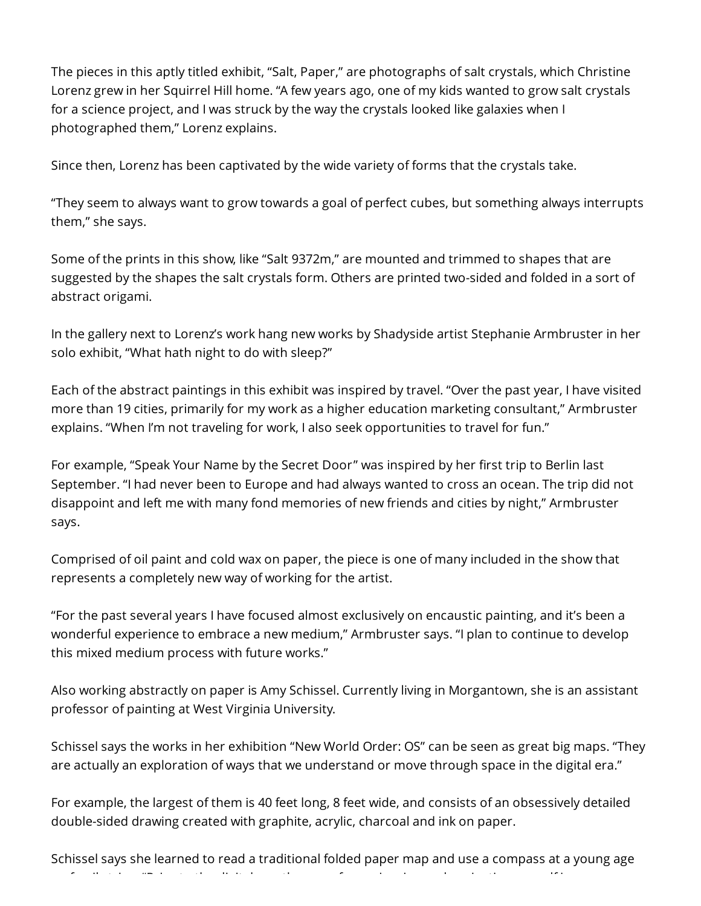The pieces in this aptly titled exhibit, "Salt, Paper," are photographs of salt crystals, which Christine Lorenz grew in her Squirrel Hill home. "A few years ago, one of my kids wanted to grow salt crystals for a science project, and I was struck by the way the crystals looked like galaxies when I photographed them," Lorenz explains.

Since then, Lorenz has been captivated by the wide variety of forms that the crystals take.

"They seem to always want to grow towards a goal of perfect cubes, but something always interrupts them," she says.

Some of the prints in this show, like "Salt 9372m," are mounted and trimmed to shapes that are suggested by the shapes the salt crystals form. Others are printed two-sided and folded in a sort of abstract origami.

In the gallery next to Lorenz's work hang new works by Shadyside artist Stephanie Armbruster in her solo exhibit, "What hath night to do with sleep?"

Each of the abstract paintings in this exhibit was inspired by travel. "Over the past year, I have visited more than 19 cities, primarily for my work as a higher education marketing consultant," Armbruster explains. "When I'm not traveling for work, I also seek opportunities to travel for fun."

For example, "Speak Your Name by the Secret Door" was inspired by her first trip to Berlin last September. "I had never been to Europe and had always wanted to cross an ocean. The trip did not disappoint and left me with many fond memories of new friends and cities by night," Armbruster says.

Comprised of oil paint and cold wax on paper, the piece is one of many included in the show that represents a completely new way of working for the artist.

"For the past several years I have focused almost exclusively on encaustic painting, and it's been a wonderful experience to embrace a new medium," Armbruster says. "I plan to continue to develop this mixed medium process with future works."

Also working abstractly on paper is Amy Schissel. Currently living in Morgantown, she is an assistant professor of painting at West Virginia University.

Schissel says the works in her exhibition "New World Order: OS" can be seen as great big maps. "They are actually an exploration of ways that we understand or move through space in the digital era."

For example, the largest of them is 40 feet long, 8 feet wide, and consists of an obsessively detailed double-sided drawing created with graphite, acrylic, charcoal and ink on paper.

Schissel says she learned to read a traditional folded paper map and use a compass at a young age f il t i "P i t th di it l th f i i d i ti lf i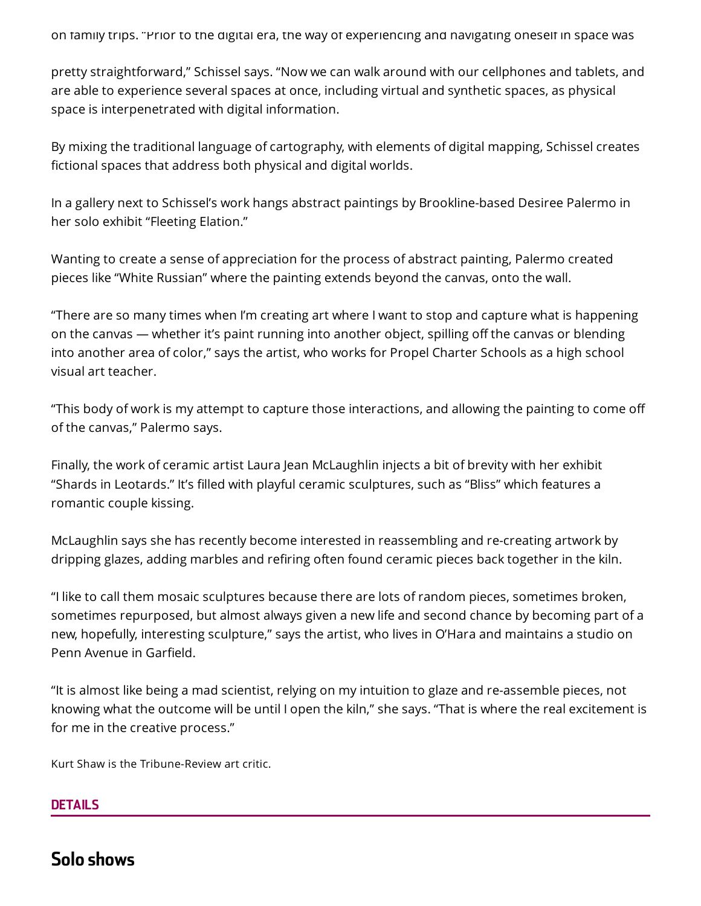on family trips. "Prior to the digital era, the way of experiencing and navigating oneself in space was

pretty straightforward," Schissel says. "Now we can walk around with our cellphones and tablets, and are able to experience several spaces at once, including virtual and synthetic spaces, as physical space is interpenetrated with digital information.

By mixing the traditional language of cartography, with elements of digital mapping, Schissel creates fictional spaces that address both physical and digital worlds.

In a gallery next to Schissel's work hangs abstract paintings by Brookline-based Desiree Palermo in her solo exhibit "Fleeting Elation."

Wanting to create a sense of appreciation for the process of abstract painting, Palermo created pieces like "White Russian" where the painting extends beyond the canvas, onto the wall.

"There are so many times when I'm creating art where I want to stop and capture what is happening on the canvas — whether it's paint running into another object, spilling off the canvas or blending into another area of color," says the artist, who works for Propel Charter Schools as a high school visual art teacher.

"This body of work is my attempt to capture those interactions, and allowing the painting to come off of the canvas," Palermo says.

Finally, the work of ceramic artist Laura Jean McLaughlin injects a bit of brevity with her exhibit "Shards in Leotards." It's filled with playful ceramic sculptures, such as "Bliss" which features a romantic couple kissing.

McLaughlin says she has recently become interested in reassembling and re-creating artwork by dripping glazes, adding marbles and refiring often found ceramic pieces back together in the kiln.

"I like to call them mosaic sculptures because there are lots of random pieces, sometimes broken, sometimes repurposed, but almost always given a new life and second chance by becoming part of a new, hopefully, interesting sculpture," says the artist, who lives in O'Hara and maintains a studio on Penn Avenue in Garfield.

"It is almost like being a mad scientist, relying on my intuition to glaze and re-assemble pieces, not knowing what the outcome will be until I open the kiln," she says. "That is where the real excitement is for me in the creative process."

Kurt Shaw is the Tribune-Review art critic.

#### DETAILS

### Solo shows